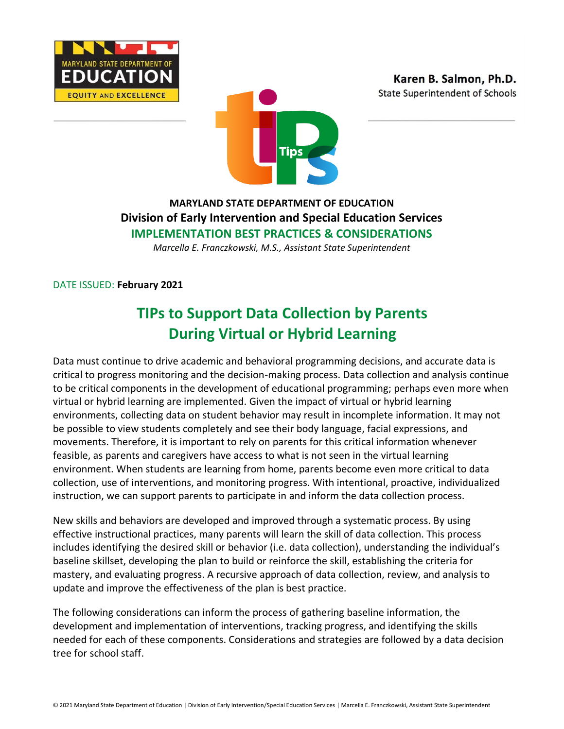





## **MARYLAND STATE DEPARTMENT OF EDUCATION Division of Early Intervention and Special Education Services IMPLEMENTATION BEST PRACTICES & CONSIDERATIONS**

*Marcella E. Franczkowski, M.S., Assistant State Superintendent*

DATE ISSUED: **February 2021**

# **TIPs to Support Data Collection by Parents During Virtual or Hybrid Learning**

Data must continue to drive academic and behavioral programming decisions, and accurate data is critical to progress monitoring and the decision-making process. Data collection and analysis continue to be critical components in the development of educational programming; perhaps even more when virtual or hybrid learning are implemented. Given the impact of virtual or hybrid learning environments, collecting data on student behavior may result in incomplete information. It may not be possible to view students completely and see their body language, facial expressions, and movements. Therefore, it is important to rely on parents for this critical information whenever feasible, as parents and caregivers have access to what is not seen in the virtual learning environment. When students are learning from home, parents become even more critical to data collection, use of interventions, and monitoring progress. With intentional, proactive, individualized instruction, we can support parents to participate in and inform the data collection process.

New skills and behaviors are developed and improved through a systematic process. By using effective instructional practices, many parents will learn the skill of data collection. This process includes identifying the desired skill or behavior (i.e. data collection), understanding the individual's baseline skillset, developing the plan to build or reinforce the skill, establishing the criteria for mastery, and evaluating progress. A recursive approach of data collection, review, and analysis to update and improve the effectiveness of the plan is best practice.

The following considerations can inform the process of gathering baseline information, the development and implementation of interventions, tracking progress, and identifying the skills needed for each of these components. Considerations and strategies are followed by a data decision tree for school staff.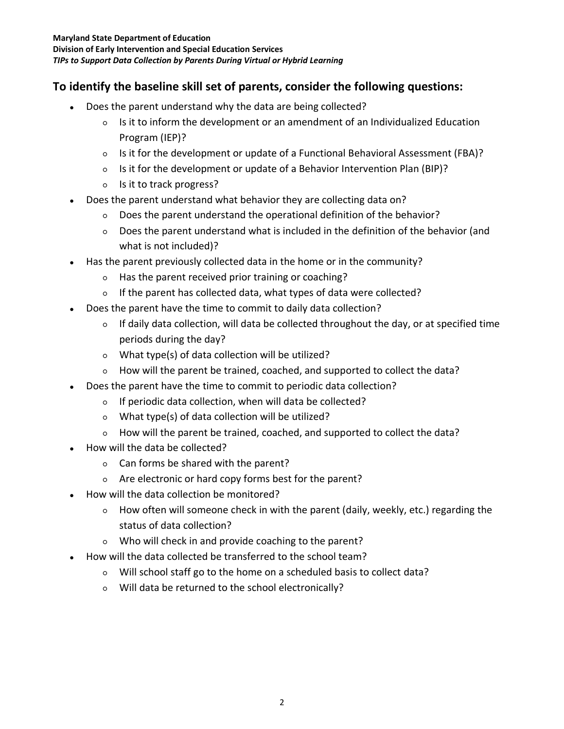## **To identify the baseline skill set of parents, consider the following questions:**

- Does the parent understand why the data are being collected?
	- Is it to inform the development or an amendment of an Individualized Education Program (IEP)?
	- Is it for the development or update of a Functional Behavioral Assessment (FBA)?
	- Is it for the development or update of a Behavior Intervention Plan (BIP)?
	- Is it to track progress?
- Does the parent understand what behavior they are collecting data on?
	- Does the parent understand the operational definition of the behavior?
	- Does the parent understand what is included in the definition of the behavior (and what is not included)?
- Has the parent previously collected data in the home or in the community?
	- Has the parent received prior training or coaching?
	- If the parent has collected data, what types of data were collected?
- Does the parent have the time to commit to daily data collection?
	- If daily data collection, will data be collected throughout the day, or at specified time periods during the day?
	- What type(s) of data collection will be utilized?
	- How will the parent be trained, coached, and supported to collect the data?
- Does the parent have the time to commit to periodic data collection?
	- If periodic data collection, when will data be collected?
	- What type(s) of data collection will be utilized?
	- How will the parent be trained, coached, and supported to collect the data?
- How will the data be collected?
	- Can forms be shared with the parent?
	- Are electronic or hard copy forms best for the parent?
- How will the data collection be monitored?
	- How often will someone check in with the parent (daily, weekly, etc.) regarding the status of data collection?
	- Who will check in and provide coaching to the parent?
- How will the data collected be transferred to the school team?
	- Will school staff go to the home on a scheduled basis to collect data?
	- Will data be returned to the school electronically?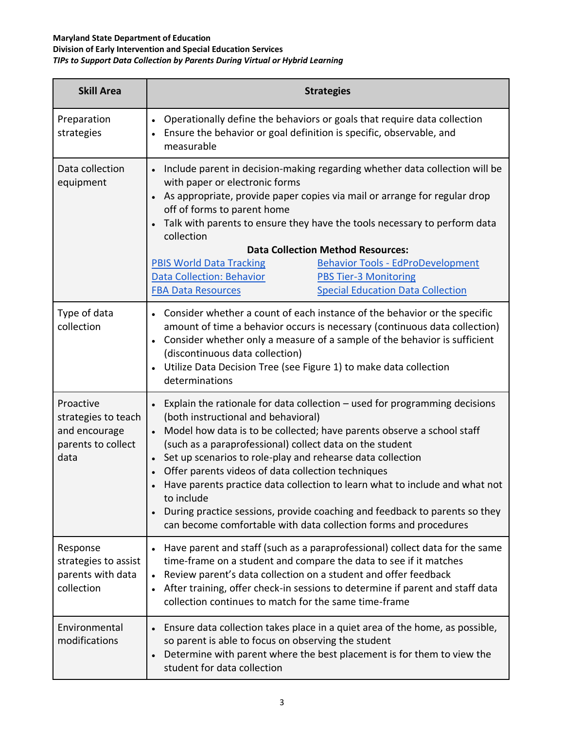#### **Maryland State Department of Education Division of Early Intervention and Special Education Services** *TIPs to Support Data Collection by Parents During Virtual or Hybrid Learning*

| <b>Skill Area</b>                                                               | <b>Strategies</b>                                                                                                                                                                                                                                                                                                                                                                                                                                                                                                                                                                                                                                                   |
|---------------------------------------------------------------------------------|---------------------------------------------------------------------------------------------------------------------------------------------------------------------------------------------------------------------------------------------------------------------------------------------------------------------------------------------------------------------------------------------------------------------------------------------------------------------------------------------------------------------------------------------------------------------------------------------------------------------------------------------------------------------|
| Preparation<br>strategies                                                       | Operationally define the behaviors or goals that require data collection<br>$\bullet$<br>Ensure the behavior or goal definition is specific, observable, and<br>measurable                                                                                                                                                                                                                                                                                                                                                                                                                                                                                          |
| Data collection<br>equipment                                                    | Include parent in decision-making regarding whether data collection will be<br>$\bullet$<br>with paper or electronic forms<br>As appropriate, provide paper copies via mail or arrange for regular drop<br>$\bullet$<br>off of forms to parent home<br>Talk with parents to ensure they have the tools necessary to perform data<br>collection<br><b>Data Collection Method Resources:</b><br><b>Behavior Tools - EdProDevelopment</b><br><b>PBIS World Data Tracking</b>                                                                                                                                                                                           |
|                                                                                 | <b>Data Collection: Behavior</b><br><b>PBS Tier-3 Monitoring</b><br><b>Special Education Data Collection</b><br><b>FBA Data Resources</b>                                                                                                                                                                                                                                                                                                                                                                                                                                                                                                                           |
| Type of data<br>collection                                                      | • Consider whether a count of each instance of the behavior or the specific<br>amount of time a behavior occurs is necessary (continuous data collection)<br>Consider whether only a measure of a sample of the behavior is sufficient<br>$\bullet$<br>(discontinuous data collection)<br>Utilize Data Decision Tree (see Figure 1) to make data collection<br>determinations                                                                                                                                                                                                                                                                                       |
| Proactive<br>strategies to teach<br>and encourage<br>parents to collect<br>data | Explain the rationale for data collection $-$ used for programming decisions<br>(both instructional and behavioral)<br>Model how data is to be collected; have parents observe a school staff<br>$\bullet$<br>(such as a paraprofessional) collect data on the student<br>Set up scenarios to role-play and rehearse data collection<br>$\bullet$<br>Offer parents videos of data collection techniques<br>Have parents practice data collection to learn what to include and what not<br>to include<br>During practice sessions, provide coaching and feedback to parents so they<br>$\bullet$<br>can become comfortable with data collection forms and procedures |
| Response<br>strategies to assist<br>parents with data<br>collection             | Have parent and staff (such as a paraprofessional) collect data for the same<br>time-frame on a student and compare the data to see if it matches<br>Review parent's data collection on a student and offer feedback<br>$\bullet$<br>After training, offer check-in sessions to determine if parent and staff data<br>$\bullet$<br>collection continues to match for the same time-frame                                                                                                                                                                                                                                                                            |
| Environmental<br>modifications                                                  | Ensure data collection takes place in a quiet area of the home, as possible,<br>$\bullet$<br>so parent is able to focus on observing the student<br>Determine with parent where the best placement is for them to view the<br>$\bullet$<br>student for data collection                                                                                                                                                                                                                                                                                                                                                                                              |